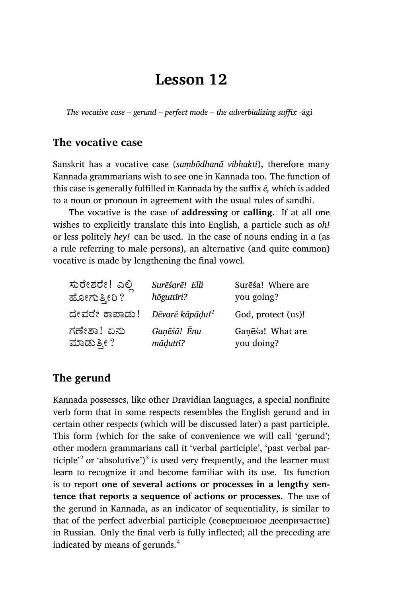# **Lesson 12**

*The vocative case – gerund – perfect mode – the adverbializing suffix* -āgi

### **The vocative case**

Sanskrit has a vocative case (*saṃbōdhanā vibhakti*), therefore many Kannada grammarians wish to see one in Kannada too. The function of this case is generally fulfilled in Kannada by the suffix *ē,* which is added to a noun or pronoun in agreement with the usual rules of sandhi.

The vocative is the case of **addressing** or **calling.** If at all one wishes to explicitly translate this into English, a particle such as *oh!* or less politely *hey!* can be used. In the case of nouns ending in *a* (as a rule referring to male persons), an alternative (and quite common) vocative is made by lengthening the final vowel.

| ಸುರೇಶರೇ! ಎಲ್ಲಿ | Surēśarē! Elli              | Surēśa! Where are  |
|----------------|-----------------------------|--------------------|
| ಹೋಗುತ್ತೀರಿ ?   | hōguttīri?                  | you going?         |
| ದೇವರೇ ಕಾಪಾಡು!  | Dēvarē kāpādu! <sup>1</sup> | God, protect (us)! |
| ಗಣೇಶಾ! ಏನು     | Ganēśā! Ēnu                 | Ganesa! What are   |
| ಮಾಡುತ್ತೀ ?     | māduttī?                    | you doing?         |

### **The gerund**

Kannada possesses, like other Dravidian languages, a special nonfinite verb form that in some respects resembles the English gerund and in certain other respects (which will be discussed later) a past participle. This form (which for the sake of convenience we will call 'gerund'; other modern grammarians call it 'verbal participle', 'past verbal participle<sup> $2$ </sup> or 'absolutive')<sup>3</sup> is used very frequently, and the learner must learn to recognize it and become familiar with its use. Its function is to report **one of several actions or processes in a lengthy sentence that reports a sequence of actions or processes.** The use of the gerund in Kannada, as an indicator of sequentiality, is similar to that of the perfect adverbial participle (совершенное деепричастие) in Russian. Only the final verb is fully inflected; all the preceding are indicated by means of gerunds.<sup>4</sup>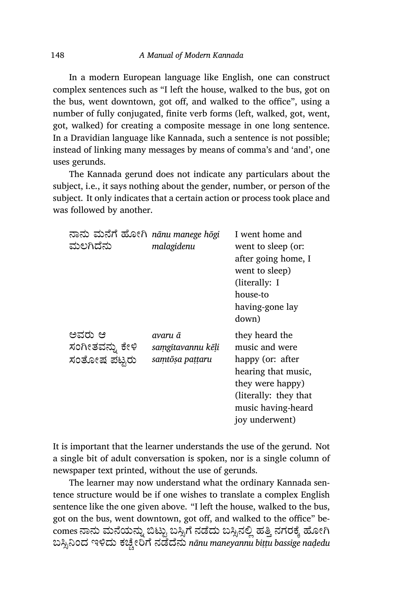In a modern European language like English, one can construct complex sentences such as "I left the house, walked to the bus, got on the bus, went downtown, got off, and walked to the office", using a number of fully conjugated, finite verb forms (left, walked, got, went, got, walked) for creating a composite message in one long sentence. In a Dravidian language like Kannada, such a sentence is not possible; instead of linking many messages by means of comma's and 'and', one uses gerunds.

The Kannada gerund does not indicate any particulars about the subject, i.e., it says nothing about the gender, number, or person of the subject. It only indicates that a certain action or process took place and was followed by another.

| ನಾನು ಮನೆಗೆ ಹೋಗಿ nānu manege hōgi<br>ಮಲಗಿದೆನು | malagidenu                                      | I went home and<br>went to sleep (or:<br>after going home, I<br>went to sleep)<br>(literally: I<br>house-to<br>having-gone lay<br>down)                           |
|----------------------------------------------|-------------------------------------------------|-------------------------------------------------------------------------------------------------------------------------------------------------------------------|
| ಅವರು ಆ<br>ಸಂಗೀತವನ್ನು ಕೇಳಿ<br>ಸಂತೋಷ ಪಟ್ಟರು    | avaru ā<br>samgitavannu kēli<br>samtōṣa paṭṭaru | they heard the<br>music and were<br>happy (or: after<br>hearing that music,<br>they were happy)<br>(literally: they that)<br>music having-heard<br>joy underwent) |

It is important that the learner understands the use of the gerund. Not a single bit of adult conversation is spoken, nor is a single column of newspaper text printed, without the use of gerunds.

The learner may now understand what the ordinary Kannada sentence structure would be if one wishes to translate a complex English sentence like the one given above. "I left the house, walked to the bus, got on the bus, went downtown, got off, and walked to the office" becomes ನಾನು ಮನೆಯನ್ನು ಬಿಟ್ಟು ಬಸ್ಸಿಗೆ ನಡೆದು ಬಸ್ಸಿನಲ್ಲಿ ಹತ್ತಿ ನಗರಕ್ಕೆ ಹೋಗಿ ಬಸ್ಸಿನಿಂದ ಇಳಿದು ಕಚ್ಚೇರಿಗೆ ನಡೆದೆನು *nānu maneyannu biṭṭu bassige naḍedu*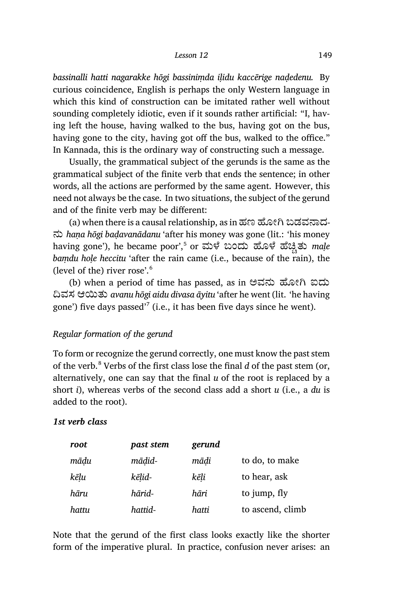*bassinalli hatti nagarakke hōgi bassiniṃda iḷidu kaccērige naḍedenu.* By curious coincidence, English is perhaps the only Western language in which this kind of construction can be imitated rather well without sounding completely idiotic, even if it sounds rather artificial: "I, having left the house, having walked to the bus, having got on the bus, having gone to the city, having got off the bus, walked to the office." In Kannada, this is the ordinary way of constructing such a message.

Usually, the grammatical subject of the gerunds is the same as the grammatical subject of the finite verb that ends the sentence; in other words, all the actions are performed by the same agent. However, this need not always be the case. In two situations, the subject of the gerund and of the finite verb may be different:

(a) when there is a causal relationship, as in ಹಣ ಹೋಗಿ ಬಡವನಾದ-ನು *haṇa hōgi baḍavanādanu* 'after his money was gone (lit.: 'his money having gone'), he became poor',<sup>5</sup> or ಮಳೆ ಬಂದು ಹೊಳೆ ಹೆಚ್ಚಿತು *maḷe bamdu hole heccitu* 'after the rain came (i.e., because of the rain), the (level of the) river rose'.<sup>6</sup>

(b) when a period of time has passed, as in ಅವನು ಹೋಗಿ ಐದು ದಿವಸ ಆಯಿತು *avanu hōgi aidu divasa āyitu* 'after he went (lit. 'he having gone') five days passed'<sup>7</sup> (i.e., it has been five days since he went).

#### *Regular formation of the gerund*

To form or recognize the gerund correctly, one must know the past stem of the verb.<sup>8</sup> Verbs of the first class lose the final *d* of the past stem (or, alternatively, one can say that the final *u* of the root is replaced by a short *i*), whereas verbs of the second class add a short *u* (i.e., a *du* is added to the root).

#### *1st verb class*

| root  | past stem | gerund |                  |
|-------|-----------|--------|------------------|
| mādu  | mādid-    | mādi   | to do, to make   |
| kēlu  | kēlid-    | kēli   | to hear, ask     |
| hāru  | hārid-    | hāri   | to jump, fly     |
| hattu | hattid-   | hatti  | to ascend, climb |

Note that the gerund of the first class looks exactly like the shorter form of the imperative plural. In practice, confusion never arises: an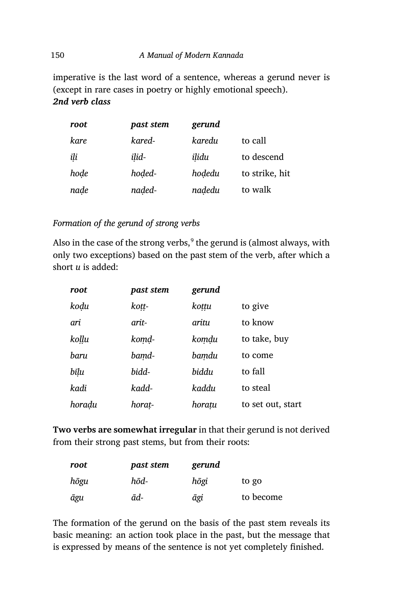imperative is the last word of a sentence, whereas a gerund never is (except in rare cases in poetry or highly emotional speech). *2nd verb class*

| root | past stem | gerund |                |
|------|-----------|--------|----------------|
| kare | kared-    | karedu | to call        |
| ili  | ilid-     | ilidu  | to descend     |
| hode | hoded-    | hodedu | to strike, hit |
| nade | naded-    | nadedu | to walk        |

#### *Formation of the gerund of strong verbs*

Also in the case of the strong verbs,<sup>9</sup> the gerund is (almost always, with only two exceptions) based on the past stem of the verb, after which a short *u* is added:

| root   | past stem | gerund |                   |
|--------|-----------|--------|-------------------|
| kodu   | koṭṭ-     | kottu  | to give           |
| ari    | arit-     | aritu  | to know           |
| kollu  | komd-     | komdu  | to take, buy      |
| baru   | bamd-     | bamdu  | to come           |
| bīlu   | bidd-     | biddu  | to fall           |
| kadi   | kadd-     | kaddu  | to steal          |
| horadu | horat-    | horatu | to set out, start |

**Two verbs are somewhat irregular** in that their gerund is not derived from their strong past stems, but from their roots:

| root | past stem | gerund |           |
|------|-----------|--------|-----------|
| hōgu | hōd-      | hōgi   | to go     |
| āgu  | ād-       | āgi    | to become |

The formation of the gerund on the basis of the past stem reveals its basic meaning: an action took place in the past, but the message that is ex pressed by means of the sentence is not yet completely finished.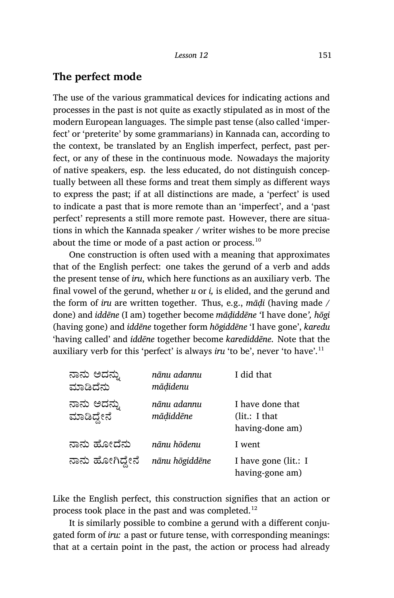### **The perfect mode**

The use of the various grammatical devices for indicating actions and processes in the past is not quite as exactly stipulated as in most of the modern European languages. The simple past tense (also called 'imperfect' or 'preterite' by some grammarians) in Kannada can, according to the context, be translated by an English imperfect, perfect, past perfect, or any of these in the continuous mode. Nowadays the majority of native speakers, esp. the less educated, do not distinguish conceptually between all these forms and treat them simply as different ways to express the past; if at all distinctions are made, a 'perfect' is used to indicate a past that is more remote than an 'imperfect', and a 'past perfect' represents a still more remote past. However, there are situations in which the Kannada speaker / writer wishes to be more precise about the time or mode of a past action or process. $10$ 

One construction is often used with a meaning that approximates that of the English perfect: one takes the gerund of a verb and adds the present tense of *iru*, which here functions as an auxiliary verb. The final vowel of the gerund, whether *u* or *i,* is elided, and the gerund and the form of *iru* are written together. Thus, e.g., *māḍi* (having made / done) and *iddēne* (I am) together become *māḍiddēne '*I have done*', hōgi* (having gone) and *iddēne* together form *hōgiddēne* 'I have gone', *karedu* 'having called' and *iddēne* together become *karediddēne*. Note that the auxiliary verb for this 'perfect' is always *iru* 'to be', never 'to have'.<sup>11</sup>

| ನಾನು ಅದನ್ನು<br>ಮಾಡಿದೆನು   | nānu adannu<br>mādidenu  | I did that                                           |
|---------------------------|--------------------------|------------------------------------------------------|
| ನಾನು ಅದನ್ನು<br>ಮಾಡಿದ್ದೇನೆ | nānu adannu<br>mādiddēne | I have done that<br>(lit.: I that<br>having-done am) |
| ನಾನು ಹೋದೆನು               | nānu hōdenu              | I went                                               |
| ನಾನು ಹೋಗಿದ್ದೇನೆ           | nānu hōgiddēne           | I have gone (lit.: I<br>having-gone am)              |

Like the English perfect, this construction signifies that an action or process took place in the past and was completed.<sup>12</sup>

It is similarly possible to combine a gerund with a different conjugated form of *iru:* a past or future tense, with corresponding meanings: that at a certain point in the past, the action or process had already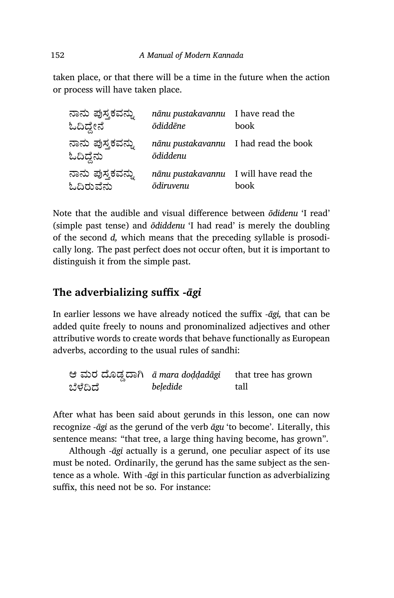taken place, or that there will be a time in the future when the action or process will have taken place.

| ನಾನು ಪುಸ್ತಕವನ್ನು<br>ಓದಿದ್ದೇನೆ | nānu pustakavannu I have read the<br><b>ōdiddēne</b> | book                                           |
|-------------------------------|------------------------------------------------------|------------------------------------------------|
| ನಾನು ಪುಸ್ತಕವನ್ನು<br>ಓದಿದ್ದೆನು | ōdiddenu                                             | nānu pustakavannu I had read the book          |
| ನಾನು ಪುಸ್ತಕವನ್ನು<br>ಓದಿರುವೆನು | ōdiruvenu                                            | nānu pustakavannu I will have read the<br>book |

Note that the audible and visual difference between *ōdidenu* 'I read' (simple past tense) and *ōdiddenu* 'I had read' is merely the doubling of the second *d,* which means that the preceding syllable is prosodically long. The past perfect does not occur often, but it is important to distinguish it from the simple past.

### **The adverbializing suffix** *-āgi*

In earlier lessons we have already noticed the suffix *-āgi,* that can be added quite freely to nouns and pronominalized adjectives and other attributive words to create words that behave functionally as European adverbs, according to the usual rules of sandhi:

ಆ ಮರ ೊಡ°ಾĆ *ā mara doḍḍadāgi* ಬೆಳೆದಿದೆ *beḷedide* that tree has grown tall

After what has been said about gerunds in this lesson, one can now recognize *-āgi* as the gerund of the verb *āgu* 'to become'. Literally, this sentence means: "that tree, a large thing having become, has grown".

Although *-āgi* actually is a gerund, one peculiar aspect of its use must be noted. Ordinarily, the gerund has the same subject as the sentence as a whole. With *-āgi* in this particular function as adverbializing suffix, this need not be so. For instance: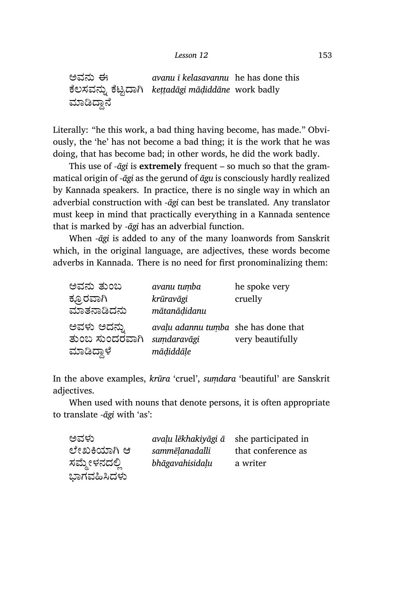ಅವನು ಈ ಕಲಸವನ್ನು ಕಟ್ಟದಾಗಿ *keṭṭadāgi māḍiddāne*  work badly ಮಾಡಿದ್ದಾನೆ *avanu ī kelasavannu* he has done this

Literally: "he this work, a bad thing having become, has made." Obviously, the 'he' has not become a bad thing; it is the work that he was doing, that has become bad; in other words, he did the work badly.

This use of *-āgi* is **extremely** frequent – so much so that the grammatical origin of *-āgi* as the gerund of *āgu* is consciously hardly realized by Kannada speakers. In practice, there is no single way in which an adverbial construction with *-āgi* can best be translated. Any translator must keep in mind that practically everything in a Kannada sentence that is marked by *-āgi* has an adverbial function.

When *-āgi* is added to any of the many loanwords from Sanskrit which, in the original language, are adjectives, these words become adverbs in Kannada. There is no need for first pronominalizing them:

| ಅವನು ತುಂಬ                     | avanu tumba                                         | he spoke very    |
|-------------------------------|-----------------------------------------------------|------------------|
| ಕ್ರೂರವಾಗಿ                     | krūravāgi                                           | cruelly          |
| ಮಾತನಾಡಿದನು                    | mātanādidanu                                        |                  |
| ಅವಳು ಅದನ್ನು<br>ತುಂಬ ಸುಂದರವಾಗಿ | avalu adannu tumba she has done that<br>sumdaravāgi | very beautifully |
| ಮಾಡಿದ್ದಾಳೆ                    | mādiddāle                                           |                  |

In the above examples, *krūra* 'cruel', *suṃdara* 'beautiful' are Sanskrit adjectives.

When used with nouns that denote persons, it is often appropriate to translate *-āgi* with 'as':

| ಅವಳು         | avalu lēkhakiyāgi ā | she participated in |
|--------------|---------------------|---------------------|
| ಲೇಖಕಿಯಾಗಿ ಆ  | sammēlanadalli      | that conference as  |
| ಸಮ್ಮೇಳನದಲ್ಲಿ | bhāgavahisidaļu     | a writer            |
| ಭಾಗವಹಿಸಿದಳು  |                     |                     |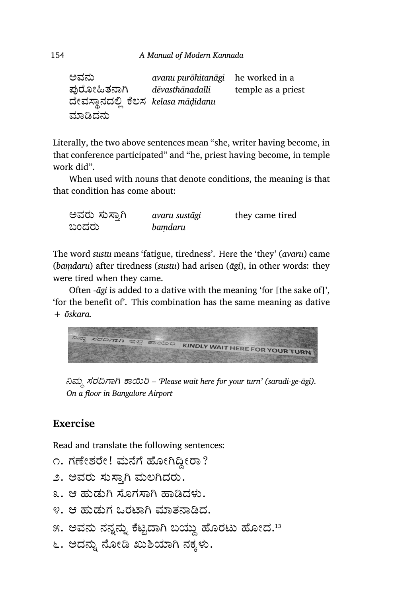```
ಅವನು
ಪುರೋಹಿತನಾಗಿ
ದೇವಸ್ಥಾನದಲ್ಲಿ ಕಲಸ  kelasa māḍidanu
ಾēದನು
                  avanu purōhitanāgi
                  dēvasthānadalli
                                     he worked in a
                                     temple as a priest
```
Literally, the two above sentences mean "she, writer having become, in that conference participated" and "he, priest having become, in temple work did".

When used with nouns that denote conditions, the meaning is that that condition has come about:

| ಅವರು ಸುಸ್ತಾಗಿ | avaru sustāgi | they came tired |
|---------------|---------------|-----------------|
| ಬಂದರು         | bamdaru       |                 |

The word *sustu* means 'fatigue, tiredness'. Here the 'they' (*avaru*) came (*baṃdaru*) after tiredness (*sustu*) had arisen (*āgi*), in other words: they were tired when they came.

Often *-āgi* is added to a dative with the meaning 'for [the sake of]', 'for the benefit of'. This combination has the same meaning as dative + *ōskara.*



*Ěಮ¼ ಸರĘಾĆ ಾĥĨ – 'Please wait here for your turn' (saradi-ge-āgi). On a floor in Bangalore Airport*

### **Exercise**

Read and translate the following sentences:

- ೧. ಗಣೇಶರೇ! ಮನೆಗೆ ಹೋಗಿದ್ದೀರಾ?
- ೨. ಅವರು ಸುಸ್ತಾಗಿ ಮಲಗಿದರು.
- ೩. ಆ ಹುಡುಗಿ ಸೊಗಸಾಗಿ ಹಾಡಿದಳು.
- ೪. ಆ ಹುಡುಗ ಒರಟಾಗಿ ಮಾತನಾಡಿದ.
- ೫. ಅವನು ನನ್ನನ್ನು ಕೆಟ್ಟದಾಗಿ ಬಯ್ದು ಹೊರಟು ಹೋದ.<sup>13</sup>
- ೬. ಅದನ್ನು ನೋಡಿ ಖುಶಿಯಾಗಿ ನಕ್ಕಳು.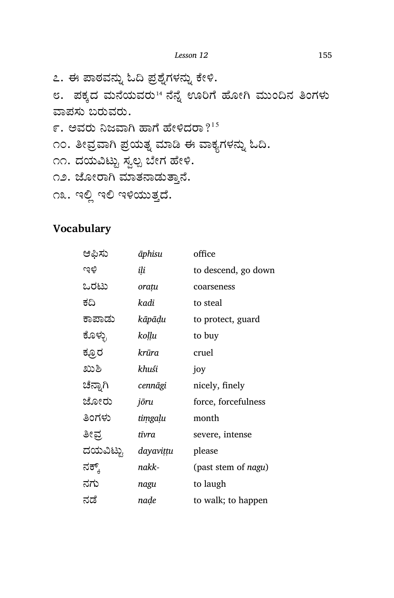೭. ಈ ಪಾಠವನ್ನು ಓದಿ ಪ್ರಶೈಗಳನ್ನು ಕೇಳಿ.

೮. ಪಕ್ಕದ ಮನೆಯವರು14 ನೆನ್ನೆ ಊರಿಗೆ ಹೋಗಿ ಮುಂದಿನ ತಿಂಗಳು ವಾಪಸು ಬರುವರು. ೯. ಅವರು ನಿಜವಾಗಿ ಹಾಗೆ ಹೇಳಿದರಾ $?^{15}$ 

೧೦. ತೀವ್ರವಾಗಿ ಪ್ರಯತ್ನ ಮಾಡಿ ಈ ವಾಕ್ಯಗಳನ್ನು ಓದಿ.

- ೧೧. ದಯವಿಟ್ಟು ಸ್ವಲ್ಪ ಬೇಗ ಹೇಳಿ.
- ೧೨. ಜೋರಾಗಿ ಮಾತನಾಡುತ್ತಾನೆ.
- ೧೩. ಇಲ್ಲಿ ಇಲಿ ಇಳಿಯುತ್ತದೆ.

## **Vocabulary**

| ಆಫಿಸು    | āphisu    | office                      |
|----------|-----------|-----------------------------|
| ುಕಿ      | ili       | to descend, go down         |
| ಒರಟು     | orațu     | coarseness                  |
| ಕದಿ      | kadi      | to steal                    |
| ಕಾಪಾಡು   | kāpāḍu    | to protect, guard           |
| ಕೊಳ್ಳು   | koḷḷu     | to buy                      |
| ಕ್ರೂರ    | krūra     | cruel                       |
| ಖುಶಿ     | khuśi     | joy                         |
| ಚೆನ್ನಾಗಿ | cennāgi   | nicely, finely              |
| ಜೋರು     | jōru      | force, forcefulness         |
| ತಿಂಗಳು   | timgaļu   | month                       |
| ತೀವ್ರ    | tīvra     | severe, intense             |
| ದಯವಿಟ್ಟು | dayavițțu | please                      |
| ನಕ್ಕ್    | nakk-     | (past stem of <i>nagu</i> ) |
| ನಗು      | nagu      | to laugh                    |
| ನಡೆ      | naḍe      | to walk; to happen          |
|          |           |                             |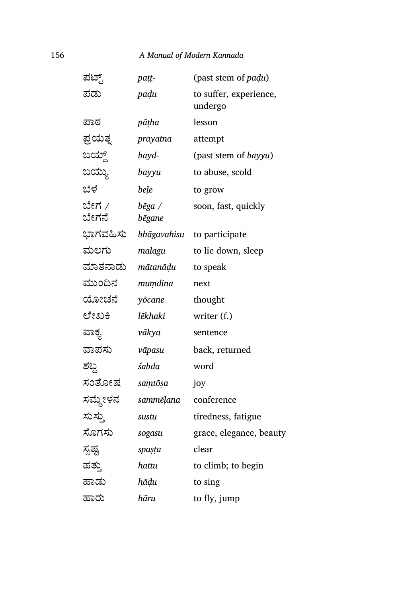#### 156 *A Manual of Modern Kannada*

| ಪಟ್ಟ್          | paṭṭ-            | (past stem of padu)               |
|----------------|------------------|-----------------------------------|
| ಪಡು            | padu             | to suffer, experience,<br>undergo |
| ಪಾಠ            | pāṭha            | lesson                            |
| ಪ್ರಯತೃ         | prayatna         | attempt                           |
| ಬಯ್ದ್          | bayd-            | (past stem of bayyu)              |
| ಬಯ್ಯು          | bayyu            | to abuse, scold                   |
| ಬೆಳೆ           | bele             | to grow                           |
| ಬೇಗ /<br>ಬೇಗನೆ | bēga /<br>bēgane | soon, fast, quickly               |
| ಭಾಗವಹಿಸು       | bhāgavahisu      | to participate                    |
| ಮಲಗು           | malagu           | to lie down, sleep                |
| ಮಾತನಾಡು        | mātanāḍu         | to speak                          |
| ಮುಂದಿನ         | muṃdina          | next                              |
| ಯೋಚನೆ          | yōcane           | thought                           |
| ಲೇಖಕಿ          | lēkhaki          | writer (f.)                       |
| ವಾಕ್ಯ          | vākya            | sentence                          |
| ವಾಪಸು          | vāpasu           | back, returned                    |
| ಶಬ್ದ           | śabda            | word                              |
| ಸಂತೋಷ          | saṃtōṣa          | joy                               |
| ಸಮ್ಮೇಳನ        | sammēļana        | conference                        |
| ಸುಸ್ತು         | sustu            | tiredness, fatigue                |
| ಸೊಗಸು          | sogasu           | grace, elegance, beauty           |
| ಸ್ಪಷ್ಟ         | spaṣṭa           | clear                             |
| ಹತ್ತು          | hattu            | to climb; to begin                |
| ಹಾಡು           | hāḍu             | to sing                           |
| ಹಾರು           | hāru             | to fly, jump                      |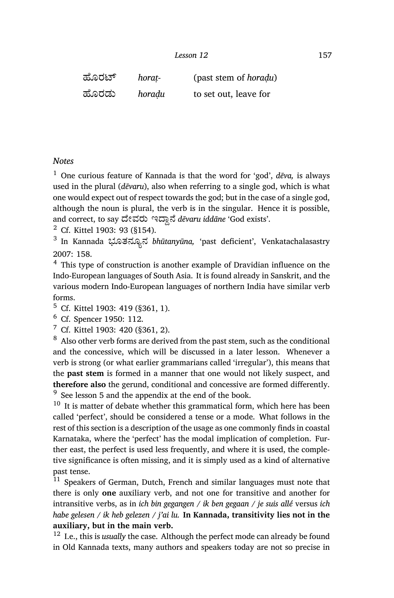¢ೊರ್ *horaṭ-* (past stem of *horaḍu*) ¢ೊರಡು *horaḍu* to set out, leave for

#### *Notes*

<sup>1</sup> One curious feature of Kannada is that the word for 'god', *dēva,* is always used in the plural (*dēvaru*), also when referring to a single god, which is what one would expect out of respect towards the god; but in the case of a single god, although the noun is plural, the verb is in the singular. Hence it is possible, and correct, to say ದೇವರು ಇದ್ದಾನೆ *dēvaru iddāne* 'God exists'.

<sup>2</sup> Cf. Kittel 1903: 93 (§154).

3 In Kannada ಭೂತನೂ½ನ *bhūtanyūna,* 'past deficient', Venkatachalasastry 2007: 158.

<sup>4</sup> This type of construction is another example of Dravidian influence on the Indo-European languages of South Asia. It is found already in Sanskrit, and the various modern Indo-European languages of northern India have similar verb forms.

<sup>5</sup> Cf. Kittel 1903: 419 (§361, 1).

<sup>6</sup> Cf. Spencer 1950: 112.

 $7$  Cf. Kittel 1903: 420 (§361, 2).

<sup>8</sup> Also other verb forms are derived from the past stem, such as the conditional and the concessive, which will be discussed in a later lesson. Whenever a verb is strong (or what earlier grammarians called 'irregular'), this means that the **past stem** is formed in a manner that one would not likely suspect, and **therefore also** the gerund, conditional and concessive are formed differently. <sup>9</sup> See lesson 5 and the appendix at the end of the book.

 $10$  It is matter of debate whether this grammatical form, which here has been called 'perfect', should be considered a tense or a mode. What follows in the rest of this section is a description of the usage as one commonly finds in coastal Karnataka, where the 'perfect' has the modal implication of completion. Further east, the perfect is used less frequently, and where it is used, the completive significance is often missing, and it is simply used as a kind of alternative past tense.

<sup>11</sup> Speakers of German, Dutch, French and similar languages must note that there is only **one** auxiliary verb, and not one for transitive and another for intransitive verbs, as in *ich bin gegangen / ik ben gegaan / je suis allé* versus *ich habe gelesen / ik heb gelezen / j'ai lu.* **In Kannada, transitivity lies not in the auxiliary, but in the main verb.**

<sup>12</sup> I.e., this is *usually* the case. Although the perfect mode can already be found in Old Kannada texts, many authors and speakers today are not so precise in